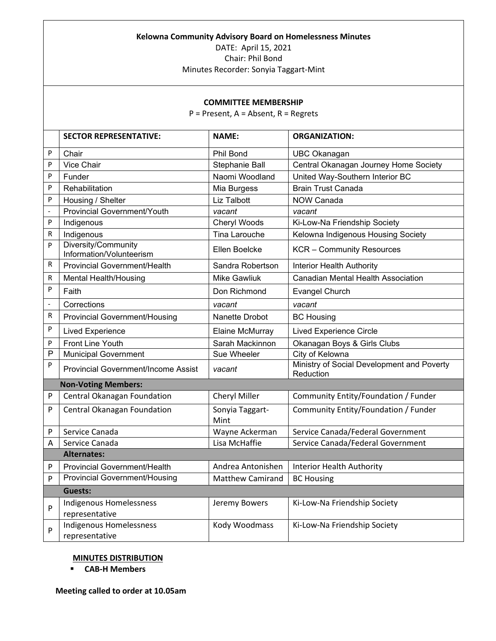#### **Kelowna Community Advisory Board on Homelessness Minutes**

DATE: April 15, 2021

Chair: Phil Bond

Minutes Recorder: Sonyia Taggart-Mint

### **COMMITTEE MEMBERSHIP**

P = Present, A = Absent, R = Regrets

|                            | <b>SECTOR REPRESENTATIVE:</b>                   | <b>NAME:</b>            | <b>ORGANIZATION:</b>                                    |
|----------------------------|-------------------------------------------------|-------------------------|---------------------------------------------------------|
| P                          | Chair                                           | Phil Bond               | <b>UBC Okanagan</b>                                     |
| P                          | Vice Chair                                      | Stephanie Ball          | Central Okanagan Journey Home Society                   |
| P                          | Funder                                          | Naomi Woodland          | United Way-Southern Interior BC                         |
| P                          | Rehabilitation                                  | Mia Burgess             | <b>Brain Trust Canada</b>                               |
| P                          | Housing / Shelter                               | <b>Liz Talbott</b>      | <b>NOW Canada</b>                                       |
| $\blacksquare$             | <b>Provincial Government/Youth</b>              | vacant                  | vacant                                                  |
| P                          | Indigenous                                      | Cheryl Woods            | Ki-Low-Na Friendship Society                            |
| R                          | Indigenous                                      | <b>Tina Larouche</b>    | Kelowna Indigenous Housing Society                      |
| P                          | Diversity/Community<br>Information/Volunteerism | Ellen Boelcke           | <b>KCR</b> - Community Resources                        |
| R                          | <b>Provincial Government/Health</b>             | Sandra Robertson        | Interior Health Authority                               |
| R                          | <b>Mental Health/Housing</b>                    | <b>Mike Gawliuk</b>     | <b>Canadian Mental Health Association</b>               |
| P                          | Faith                                           | Don Richmond            | <b>Evangel Church</b>                                   |
| $\frac{1}{2}$              | Corrections                                     | vacant                  | vacant                                                  |
| R                          | <b>Provincial Government/Housing</b>            | Nanette Drobot          | <b>BC Housing</b>                                       |
| P                          | <b>Lived Experience</b>                         | Elaine McMurray         | <b>Lived Experience Circle</b>                          |
| P                          | Front Line Youth                                | Sarah Mackinnon         | Okanagan Boys & Girls Clubs                             |
| P                          | <b>Municipal Government</b>                     | Sue Wheeler             | City of Kelowna                                         |
| P                          | <b>Provincial Government/Income Assist</b>      | vacant                  | Ministry of Social Development and Poverty<br>Reduction |
| <b>Non-Voting Members:</b> |                                                 |                         |                                                         |
| P                          | Central Okanagan Foundation                     | Cheryl Miller           | Community Entity/Foundation / Funder                    |
| P                          | Central Okanagan Foundation                     | Sonyia Taggart-<br>Mint | Community Entity/Foundation / Funder                    |
| P                          | Service Canada                                  | Wayne Ackerman          | Service Canada/Federal Government                       |
| А                          | Service Canada                                  | Lisa McHaffie           | Service Canada/Federal Government                       |
|                            | <b>Alternates:</b>                              |                         |                                                         |
| P                          | <b>Provincial Government/Health</b>             | Andrea Antonishen       | Interior Health Authority                               |
| P                          | <b>Provincial Government/Housing</b>            | <b>Matthew Camirand</b> | <b>BC Housing</b>                                       |
|                            | Guests:                                         |                         |                                                         |
| P                          | Indigenous Homelessness<br>representative       | Jeremy Bowers           | Ki-Low-Na Friendship Society                            |
| P                          | Indigenous Homelessness<br>representative       | Kody Woodmass           | Ki-Low-Na Friendship Society                            |

### **MINUTES DISTRIBUTION**

**CAB-H Members**

**Meeting called to order at 10.05am**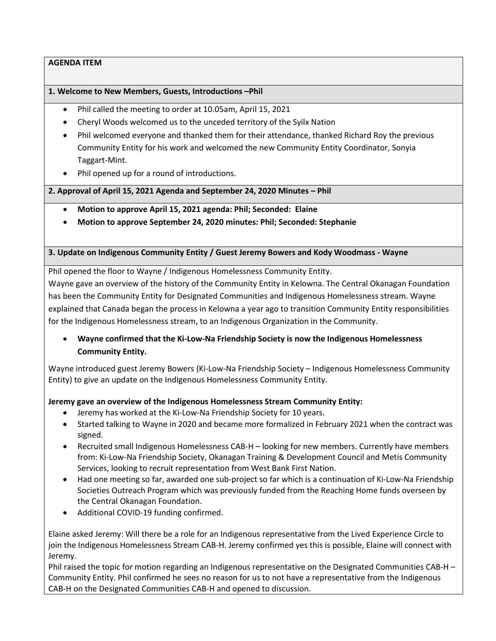### **1. Welcome to New Members, Guests, Introductions –Phil**

- Phil called the meeting to order at 10.05am, April 15, 2021
- Cheryl Woods welcomed us to the unceded territory of the Syilx Nation
- Phil welcomed everyone and thanked them for their attendance, thanked Richard Roy the previous Community Entity for his work and welcomed the new Community Entity Coordinator, Sonyia Taggart-Mint.
- Phil opened up for a round of introductions.

**2. Approval of April 15, 2021 Agenda and September 24, 2020 Minutes – Phil**

- **Motion to approve April 15, 2021 agenda: Phil; Seconded: Elaine**
- **Motion to approve September 24, 2020 minutes: Phil; Seconded: Stephanie**

**3. Update on Indigenous Community Entity / Guest Jeremy Bowers and Kody Woodmass - Wayne**

Phil opened the floor to Wayne / Indigenous Homelessness Community Entity. Wayne gave an overview of the history of the Community Entity in Kelowna. The Central Okanagan Foundation has been the Community Entity for Designated Communities and Indigenous Homelessness stream. Wayne explained that Canada began the process in Kelowna a year ago to transition Community Entity responsibilities for the Indigenous Homelessness stream, to an Indigenous Organization in the Community.

• **Wayne confirmed that the Ki-Low-Na Friendship Society is now the Indigenous Homelessness Community Entity.**

Wayne introduced guest Jeremy Bowers (Ki-Low-Na Friendship Society – Indigenous Homelessness Community Entity) to give an update on the Indigenous Homelessness Community Entity.

### **Jeremy gave an overview of the Indigenous Homelessness Stream Community Entity:**

- Jeremy has worked at the Ki-Low-Na Friendship Society for 10 years.
- Started talking to Wayne in 2020 and became more formalized in February 2021 when the contract was signed.
- Recruited small Indigenous Homelessness CAB-H looking for new members. Currently have members from: Ki-Low-Na Friendship Society, Okanagan Training & Development Council and Metis Community Services, looking to recruit representation from West Bank First Nation.
- Had one meeting so far, awarded one sub-project so far which is a continuation of Ki-Low-Na Friendship Societies Outreach Program which was previously funded from the Reaching Home funds overseen by the Central Okanagan Foundation.
- Additional COVID-19 funding confirmed.

Elaine asked Jeremy: Will there be a role for an Indigenous representative from the Lived Experience Circle to join the Indigenous Homelessness Stream CAB-H. Jeremy confirmed yes this is possible, Elaine will connect with Jeremy.

Phil raised the topic for motion regarding an Indigenous representative on the Designated Communities CAB-H – Community Entity. Phil confirmed he sees no reason for us to not have a representative from the Indigenous CAB-H on the Designated Communities CAB-H and opened to discussion.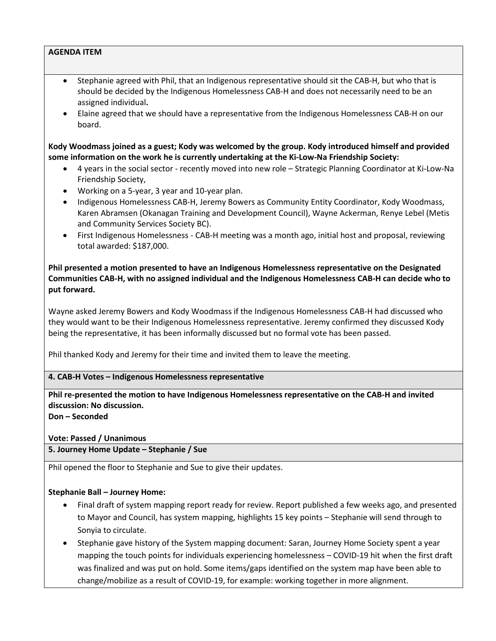- Stephanie agreed with Phil, that an Indigenous representative should sit the CAB-H, but who that is should be decided by the Indigenous Homelessness CAB-H and does not necessarily need to be an assigned individual**.**
- Elaine agreed that we should have a representative from the Indigenous Homelessness CAB-H on our board.

**Kody Woodmass joined as a guest; Kody was welcomed by the group. Kody introduced himself and provided some information on the work he is currently undertaking at the Ki-Low-Na Friendship Society:**

- 4 years in the social sector recently moved into new role Strategic Planning Coordinator at Ki-Low-Na Friendship Society,
- Working on a 5-year, 3 year and 10-year plan.
- Indigenous Homelessness CAB-H, Jeremy Bowers as Community Entity Coordinator, Kody Woodmass, Karen Abramsen (Okanagan Training and Development Council), Wayne Ackerman, Renye Lebel (Metis and Community Services Society BC).
- First Indigenous Homelessness CAB-H meeting was a month ago, initial host and proposal, reviewing total awarded: \$187,000.

**Phil presented a motion presented to have an Indigenous Homelessness representative on the Designated Communities CAB-H, with no assigned individual and the Indigenous Homelessness CAB-H can decide who to put forward.**

Wayne asked Jeremy Bowers and Kody Woodmass if the Indigenous Homelessness CAB-H had discussed who they would want to be their Indigenous Homelessness representative. Jeremy confirmed they discussed Kody being the representative, it has been informally discussed but no formal vote has been passed.

Phil thanked Kody and Jeremy for their time and invited them to leave the meeting.

### **4. CAB-H Votes – Indigenous Homelessness representative**

**Phil re-presented the motion to have Indigenous Homelessness representative on the CAB-H and invited discussion: No discussion.** 

**Don – Seconded**

**Vote: Passed / Unanimous** 

**5. Journey Home Update – Stephanie / Sue**

Phil opened the floor to Stephanie and Sue to give their updates.

### **Stephanie Ball – Journey Home:**

- Final draft of system mapping report ready for review. Report published a few weeks ago, and presented to Mayor and Council, has system mapping, highlights 15 key points – Stephanie will send through to Sonyia to circulate.
- Stephanie gave history of the System mapping document: Saran, Journey Home Society spent a year mapping the touch points for individuals experiencing homelessness – COVID-19 hit when the first draft was finalized and was put on hold. Some items/gaps identified on the system map have been able to change/mobilize as a result of COVID-19, for example: working together in more alignment.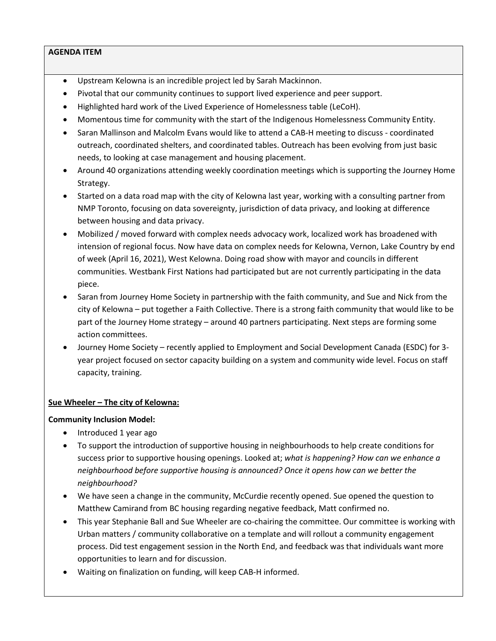- Upstream Kelowna is an incredible project led by Sarah Mackinnon.
- Pivotal that our community continues to support lived experience and peer support.
- Highlighted hard work of the Lived Experience of Homelessness table (LeCoH).
- Momentous time for community with the start of the Indigenous Homelessness Community Entity.
- Saran Mallinson and Malcolm Evans would like to attend a CAB-H meeting to discuss coordinated outreach, coordinated shelters, and coordinated tables. Outreach has been evolving from just basic needs, to looking at case management and housing placement.
- Around 40 organizations attending weekly coordination meetings which is supporting the Journey Home Strategy.
- Started on a data road map with the city of Kelowna last year, working with a consulting partner from NMP Toronto, focusing on data sovereignty, jurisdiction of data privacy, and looking at difference between housing and data privacy.
- Mobilized / moved forward with complex needs advocacy work, localized work has broadened with intension of regional focus. Now have data on complex needs for Kelowna, Vernon, Lake Country by end of week (April 16, 2021), West Kelowna. Doing road show with mayor and councils in different communities. Westbank First Nations had participated but are not currently participating in the data piece.
- Saran from Journey Home Society in partnership with the faith community, and Sue and Nick from the city of Kelowna – put together a Faith Collective. There is a strong faith community that would like to be part of the Journey Home strategy – around 40 partners participating. Next steps are forming some action committees.
- Journey Home Society recently applied to Employment and Social Development Canada (ESDC) for 3 year project focused on sector capacity building on a system and community wide level. Focus on staff capacity, training.

### **Sue Wheeler – The city of Kelowna:**

### **Community Inclusion Model:**

- Introduced 1 year ago
- To support the introduction of supportive housing in neighbourhoods to help create conditions for success prior to supportive housing openings. Looked at; *what is happening? How can we enhance a neighbourhood before supportive housing is announced? Once it opens how can we better the neighbourhood?*
- We have seen a change in the community, McCurdie recently opened. Sue opened the question to Matthew Camirand from BC housing regarding negative feedback, Matt confirmed no.
- This year Stephanie Ball and Sue Wheeler are co-chairing the committee. Our committee is working with Urban matters / community collaborative on a template and will rollout a community engagement process. Did test engagement session in the North End, and feedback was that individuals want more opportunities to learn and for discussion.
- Waiting on finalization on funding, will keep CAB-H informed.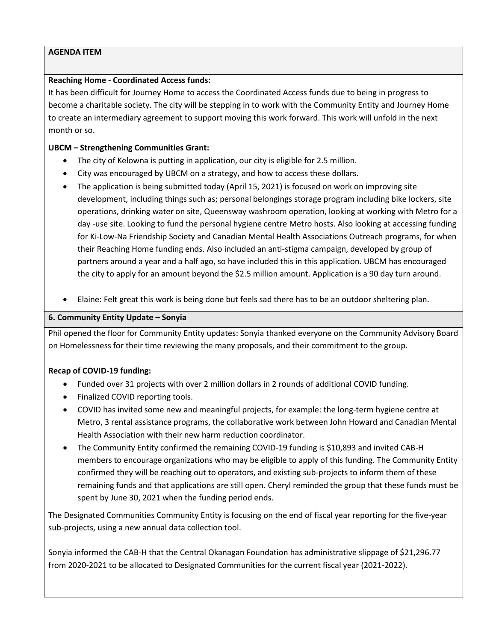### **Reaching Home - Coordinated Access funds:**

It has been difficult for Journey Home to access the Coordinated Access funds due to being in progress to become a charitable society. The city will be stepping in to work with the Community Entity and Journey Home to create an intermediary agreement to support moving this work forward. This work will unfold in the next month or so.

### **UBCM – Strengthening Communities Grant:**

- The city of Kelowna is putting in application, our city is eligible for 2.5 million.
- City was encouraged by UBCM on a strategy, and how to access these dollars.
- The application is being submitted today (April 15, 2021) is focused on work on improving site development, including things such as; personal belongings storage program including bike lockers, site operations, drinking water on site, Queensway washroom operation, looking at working with Metro for a day -use site. Looking to fund the personal hygiene centre Metro hosts. Also looking at accessing funding for Ki-Low-Na Friendship Society and Canadian Mental Health Associations Outreach programs, for when their Reaching Home funding ends. Also included an anti-stigma campaign, developed by group of partners around a year and a half ago, so have included this in this application. UBCM has encouraged the city to apply for an amount beyond the \$2.5 million amount. Application is a 90 day turn around.
- Elaine: Felt great this work is being done but feels sad there has to be an outdoor sheltering plan.

# **6. Community Entity Update – Sonyia**

Phil opened the floor for Community Entity updates: Sonyia thanked everyone on the Community Advisory Board on Homelessness for their time reviewing the many proposals, and their commitment to the group.

# **Recap of COVID-19 funding:**

- Funded over 31 projects with over 2 million dollars in 2 rounds of additional COVID funding.
- Finalized COVID reporting tools.
- COVID has invited some new and meaningful projects, for example: the long-term hygiene centre at Metro, 3 rental assistance programs, the collaborative work between John Howard and Canadian Mental Health Association with their new harm reduction coordinator.
- The Community Entity confirmed the remaining COVID-19 funding is \$10,893 and invited CAB-H members to encourage organizations who may be eligible to apply of this funding. The Community Entity confirmed they will be reaching out to operators, and existing sub-projects to inform them of these remaining funds and that applications are still open. Cheryl reminded the group that these funds must be spent by June 30, 2021 when the funding period ends.

The Designated Communities Community Entity is focusing on the end of fiscal year reporting for the five-year sub-projects, using a new annual data collection tool.

Sonyia informed the CAB-H that the Central Okanagan Foundation has administrative slippage of \$21,296.77 from 2020-2021 to be allocated to Designated Communities for the current fiscal year (2021-2022).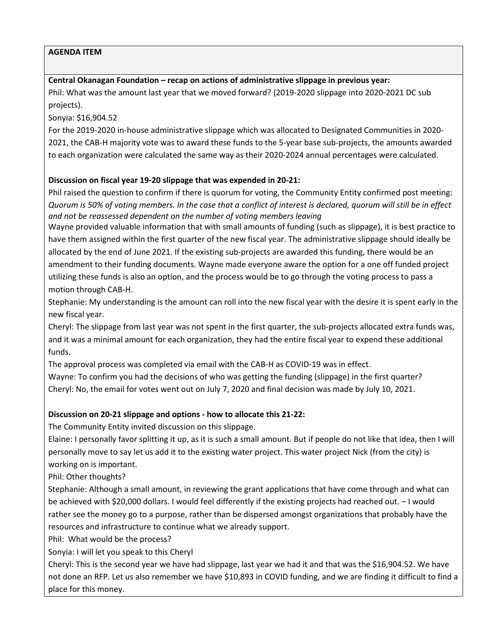### **Central Okanagan Foundation – recap on actions of administrative slippage in previous year:**

Phil: What was the amount last year that we moved forward? (2019-2020 slippage into 2020-2021 DC sub projects).

Sonyia: \$16,904.52

For the 2019-2020 in-house administrative slippage which was allocated to Designated Communities in 2020- 2021, the CAB-H majority vote was to award these funds to the 5-year base sub-projects, the amounts awarded to each organization were calculated the same way as their 2020-2024 annual percentages were calculated.

# **Discussion on fiscal year 19-20 slippage that was expended in 20-21:**

Phil raised the question to confirm if there is quorum for voting, the Community Entity confirmed post meeting: *Quorum is 50% of voting members. In the case that a conflict of interest is declared, quorum will still be in effect and not be reassessed dependent on the number of voting members leaving* 

Wayne provided valuable information that with small amounts of funding (such as slippage), it is best practice to have them assigned within the first quarter of the new fiscal year. The administrative slippage should ideally be allocated by the end of June 2021. If the existing sub-projects are awarded this funding, there would be an amendment to their funding documents. Wayne made everyone aware the option for a one off funded project utilizing these funds is also an option, and the process would be to go through the voting process to pass a motion through CAB-H.

Stephanie: My understanding is the amount can roll into the new fiscal year with the desire it is spent early in the new fiscal year.

Cheryl: The slippage from last year was not spent in the first quarter, the sub-projects allocated extra funds was, and it was a minimal amount for each organization, they had the entire fiscal year to expend these additional funds.

The approval process was completed via email with the CAB-H as COVID-19 was in effect.

Wayne: To confirm you had the decisions of who was getting the funding (slippage) in the first quarter? Cheryl: No, the email for votes went out on July 7, 2020 and final decision was made by July 10, 2021.

# **Discussion on 20-21 slippage and options - how to allocate this 21-22:**

The Community Entity invited discussion on this slippage.

Elaine: I personally favor splitting it up, as it is such a small amount. But if people do not like that idea, then I will personally move to say let us add it to the existing water project. This water project Nick (from the city) is working on is important.

Phil: Other thoughts?

Stephanie: Although a small amount, in reviewing the grant applications that have come through and what can be achieved with \$20,000 dollars. I would feel differently if the existing projects had reached out. – I would rather see the money go to a purpose, rather than be dispersed amongst organizations that probably have the resources and infrastructure to continue what we already support.

Phil: What would be the process?

Sonyia: I will let you speak to this Cheryl

Cheryl: This is the second year we have had slippage, last year we had it and that was the \$16,904.52. We have not done an RFP. Let us also remember we have \$10,893 in COVID funding, and we are finding it difficult to find a place for this money.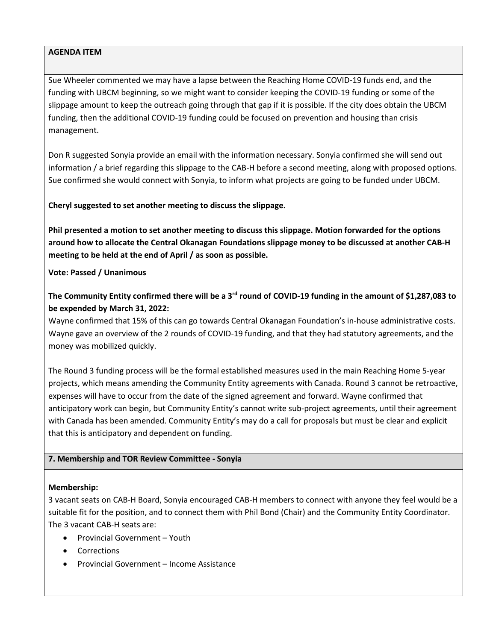Sue Wheeler commented we may have a lapse between the Reaching Home COVID-19 funds end, and the funding with UBCM beginning, so we might want to consider keeping the COVID-19 funding or some of the slippage amount to keep the outreach going through that gap if it is possible. If the city does obtain the UBCM funding, then the additional COVID-19 funding could be focused on prevention and housing than crisis management.

Don R suggested Sonyia provide an email with the information necessary. Sonyia confirmed she will send out information / a brief regarding this slippage to the CAB-H before a second meeting, along with proposed options. Sue confirmed she would connect with Sonyia, to inform what projects are going to be funded under UBCM.

# **Cheryl suggested to set another meeting to discuss the slippage.**

**Phil presented a motion to set another meeting to discuss this slippage. Motion forwarded for the options around how to allocate the Central Okanagan Foundations slippage money to be discussed at another CAB-H meeting to be held at the end of April / as soon as possible.** 

### **Vote: Passed / Unanimous**

# **The Community Entity confirmed there will be a 3rd round of COVID-19 funding in the amount of \$1,287,083 to be expended by March 31, 2022:**

Wayne confirmed that 15% of this can go towards Central Okanagan Foundation's in-house administrative costs. Wayne gave an overview of the 2 rounds of COVID-19 funding, and that they had statutory agreements, and the money was mobilized quickly.

The Round 3 funding process will be the formal established measures used in the main Reaching Home 5-year projects, which means amending the Community Entity agreements with Canada. Round 3 cannot be retroactive, expenses will have to occur from the date of the signed agreement and forward. Wayne confirmed that anticipatory work can begin, but Community Entity's cannot write sub-project agreements, until their agreement with Canada has been amended. Community Entity's may do a call for proposals but must be clear and explicit that this is anticipatory and dependent on funding.

### **7. Membership and TOR Review Committee - Sonyia**

### **Membership:**

3 vacant seats on CAB-H Board, Sonyia encouraged CAB-H members to connect with anyone they feel would be a suitable fit for the position, and to connect them with Phil Bond (Chair) and the Community Entity Coordinator. The 3 vacant CAB-H seats are:

- Provincial Government Youth
- Corrections
- Provincial Government Income Assistance